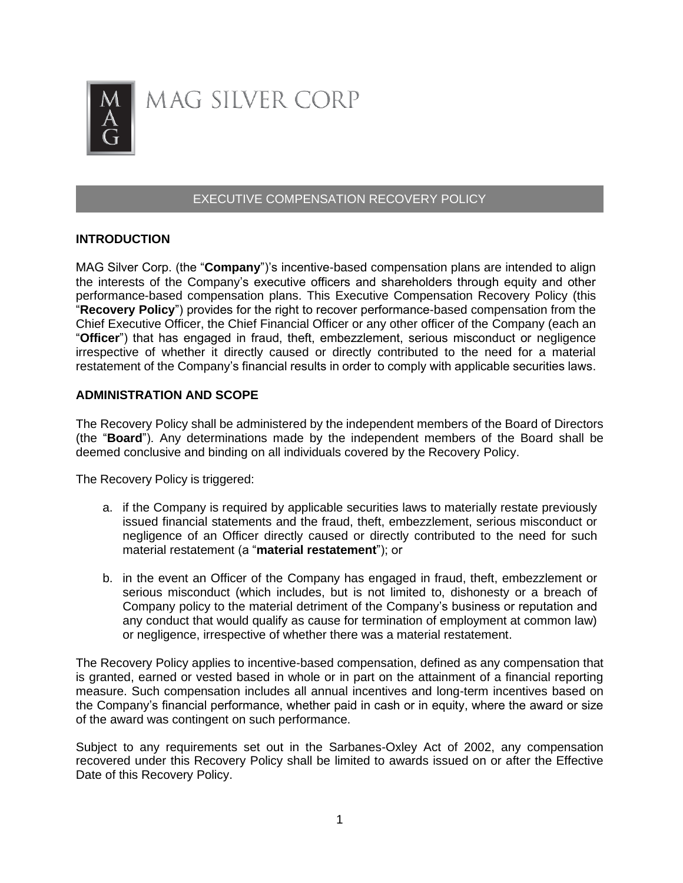

# MAG SILVER CORP

# EXECUTIVE COMPENSATION RECOVERY POLICY

#### **INTRODUCTION**

MAG Silver Corp. (the "**Company**")'s incentive-based compensation plans are intended to align the interests of the Company's executive officers and shareholders through equity and other performance-based compensation plans. This Executive Compensation Recovery Policy (this "**Recovery Policy**") provides for the right to recover performance-based compensation from the Chief Executive Officer, the Chief Financial Officer or any other officer of the Company (each an "**Officer**") that has engaged in fraud, theft, embezzlement, serious misconduct or negligence irrespective of whether it directly caused or directly contributed to the need for a material restatement of the Company's financial results in order to comply with applicable securities laws.

#### **ADMINISTRATION AND SCOPE**

The Recovery Policy shall be administered by the independent members of the Board of Directors (the "**Board**"). Any determinations made by the independent members of the Board shall be deemed conclusive and binding on all individuals covered by the Recovery Policy.

The Recovery Policy is triggered:

- a. if the Company is required by applicable securities laws to materially restate previously issued financial statements and the fraud, theft, embezzlement, serious misconduct or negligence of an Officer directly caused or directly contributed to the need for such material restatement (a "**material restatement**"); or
- b. in the event an Officer of the Company has engaged in fraud, theft, embezzlement or serious misconduct (which includes, but is not limited to, dishonesty or a breach of Company policy to the material detriment of the Company's business or reputation and any conduct that would qualify as cause for termination of employment at common law) or negligence, irrespective of whether there was a material restatement.

The Recovery Policy applies to incentive-based compensation, defined as any compensation that is granted, earned or vested based in whole or in part on the attainment of a financial reporting measure. Such compensation includes all annual incentives and long-term incentives based on the Company's financial performance, whether paid in cash or in equity, where the award or size of the award was contingent on such performance.

Subject to any requirements set out in the Sarbanes-Oxley Act of 2002, any compensation recovered under this Recovery Policy shall be limited to awards issued on or after the Effective Date of this Recovery Policy.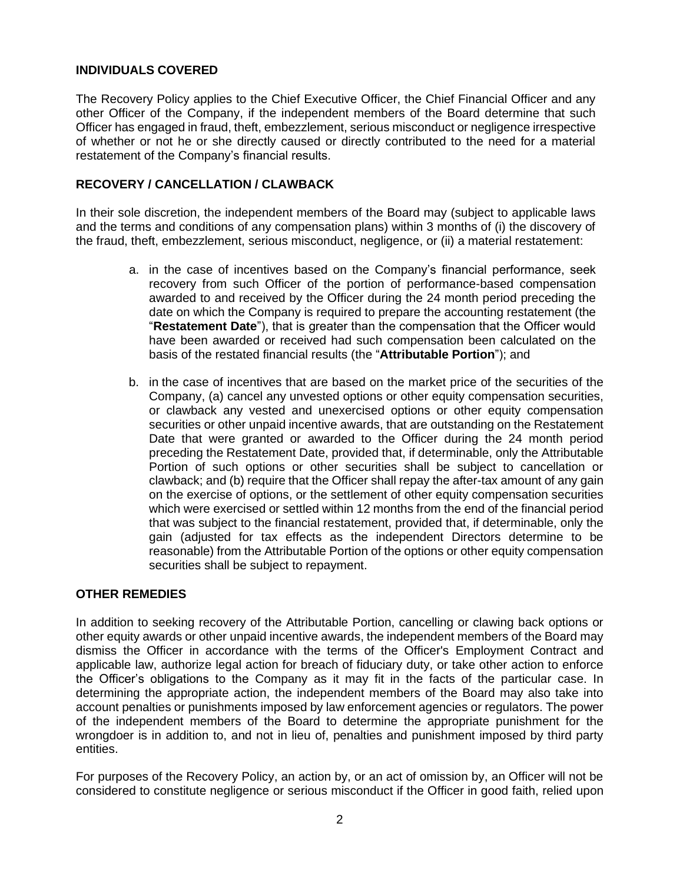## **INDIVIDUALS COVERED**

The Recovery Policy applies to the Chief Executive Officer, the Chief Financial Officer and any other Officer of the Company, if the independent members of the Board determine that such Officer has engaged in fraud, theft, embezzlement, serious misconduct or negligence irrespective of whether or not he or she directly caused or directly contributed to the need for a material restatement of the Company's financial results.

# **RECOVERY / CANCELLATION / CLAWBACK**

In their sole discretion, the independent members of the Board may (subject to applicable laws and the terms and conditions of any compensation plans) within 3 months of (i) the discovery of the fraud, theft, embezzlement, serious misconduct, negligence, or (ii) a material restatement:

- a. in the case of incentives based on the Company's financial performance, seek recovery from such Officer of the portion of performance-based compensation awarded to and received by the Officer during the 24 month period preceding the date on which the Company is required to prepare the accounting restatement (the "**Restatement Date**"), that is greater than the compensation that the Officer would have been awarded or received had such compensation been calculated on the basis of the restated financial results (the "**Attributable Portion**"); and
- b. in the case of incentives that are based on the market price of the securities of the Company, (a) cancel any unvested options or other equity compensation securities, or clawback any vested and unexercised options or other equity compensation securities or other unpaid incentive awards, that are outstanding on the Restatement Date that were granted or awarded to the Officer during the 24 month period preceding the Restatement Date, provided that, if determinable, only the Attributable Portion of such options or other securities shall be subject to cancellation or clawback; and (b) require that the Officer shall repay the after-tax amount of any gain on the exercise of options, or the settlement of other equity compensation securities which were exercised or settled within 12 months from the end of the financial period that was subject to the financial restatement, provided that, if determinable, only the gain (adjusted for tax effects as the independent Directors determine to be reasonable) from the Attributable Portion of the options or other equity compensation securities shall be subject to repayment.

## **OTHER REMEDIES**

In addition to seeking recovery of the Attributable Portion, cancelling or clawing back options or other equity awards or other unpaid incentive awards, the independent members of the Board may dismiss the Officer in accordance with the terms of the Officer's Employment Contract and applicable law, authorize legal action for breach of fiduciary duty, or take other action to enforce the Officer's obligations to the Company as it may fit in the facts of the particular case. In determining the appropriate action, the independent members of the Board may also take into account penalties or punishments imposed by law enforcement agencies or regulators. The power of the independent members of the Board to determine the appropriate punishment for the wrongdoer is in addition to, and not in lieu of, penalties and punishment imposed by third party entities.

For purposes of the Recovery Policy, an action by, or an act of omission by, an Officer will not be considered to constitute negligence or serious misconduct if the Officer in good faith, relied upon